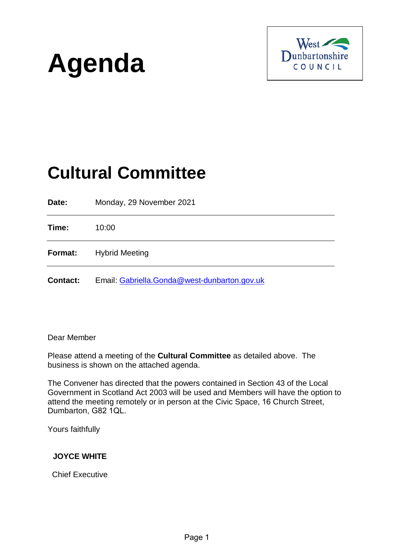



# **Cultural Committee**

**Date:** Monday, 29 November 2021 **Time:** 10:00 **Format:** Hybrid Meeting **Contact:** Email: [Gabriella.Gonda@west-dunbarton.gov.uk](mailto:Gabriella.Gonda@west-dunbarton.gov.uk)

Dear Member

Please attend a meeting of the **Cultural Committee** as detailed above. The business is shown on the attached agenda.

The Convener has directed that the powers contained in Section 43 of the Local Government in Scotland Act 2003 will be used and Members will have the option to attend the meeting remotely or in person at the Civic Space, 16 Church Street, Dumbarton, G82 1QL.

Yours faithfully

## **JOYCE WHITE**

Chief Executive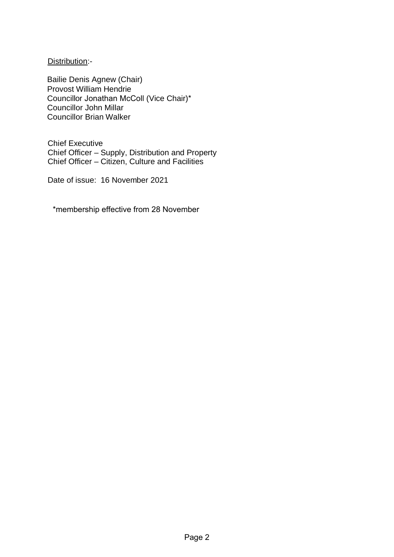Distribution:-

Bailie Denis Agnew (Chair) Provost William Hendrie Councillor Jonathan McColl (Vice Chair)\* Councillor John Millar Councillor Brian Walker

Chief Executive Chief Officer – Supply, Distribution and Property Chief Officer – Citizen, Culture and Facilities

Date of issue: 16 November 2021

\*membership effective from 28 November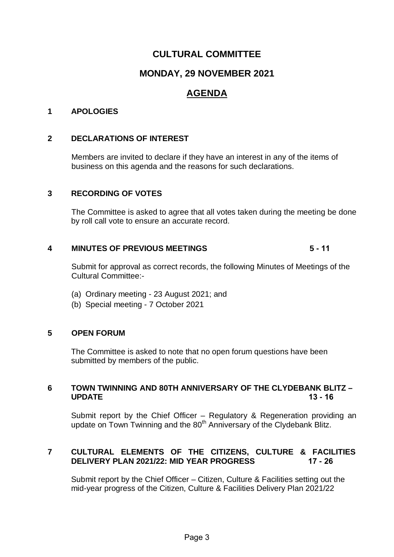# **CULTURAL COMMITTEE**

# **MONDAY, 29 NOVEMBER 2021**

# **AGENDA**

#### **1 APOLOGIES**

#### **2 DECLARATIONS OF INTEREST**

Members are invited to declare if they have an interest in any of the items of business on this agenda and the reasons for such declarations.

#### **3 RECORDING OF VOTES**

The Committee is asked to agree that all votes taken during the meeting be done by roll call vote to ensure an accurate record.

#### **4 MINUTES OF PREVIOUS MEETINGS 5 - 11**

Submit for approval as correct records, the following Minutes of Meetings of the Cultural Committee:-

- (a) Ordinary meeting 23 August 2021; and
- (b) Special meeting 7 October 2021

#### **5 OPEN FORUM**

The Committee is asked to note that no open forum questions have been submitted by members of the public.

#### **6 TOWN TWINNING AND 80TH ANNIVERSARY OF THE CLYDEBANK BLITZ – UPDATE 13 - 16**

Submit report by the Chief Officer – Regulatory & Regeneration providing an update on Town Twinning and the 80<sup>th</sup> Anniversary of the Clydebank Blitz.

### **7 CULTURAL ELEMENTS OF THE CITIZENS, CULTURE & FACILITIES DELIVERY PLAN 2021/22: MID YEAR PROGRESS 17 - 26**

Submit report by the Chief Officer – Citizen, Culture & Facilities setting out the mid-year progress of the Citizen, Culture & Facilities Delivery Plan 2021/22